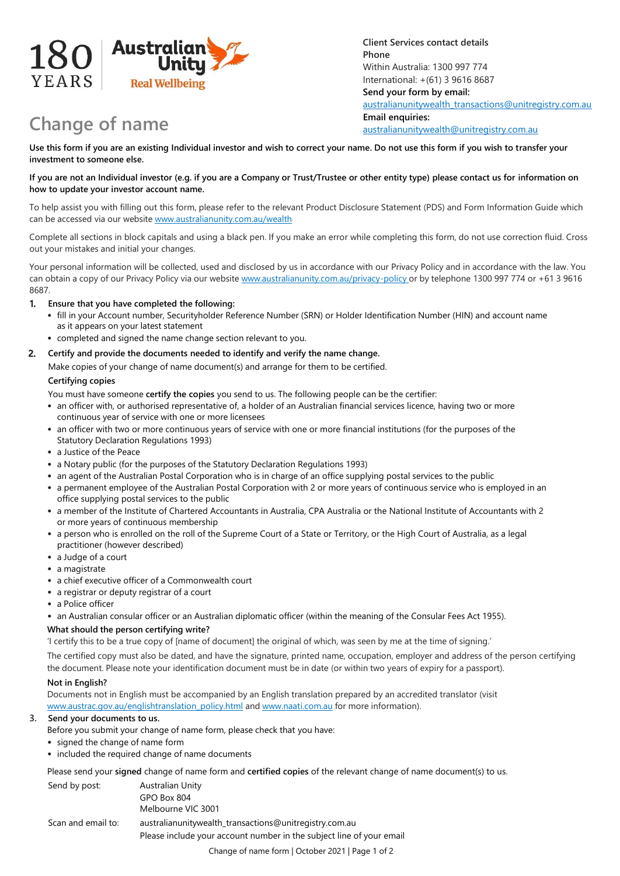

# **Change of name**

**Client Services contact details Phone** Within Australia: 1300 997 774 International: +(61) 3 9616 8687 **Send your form by email:** [australianunitywealth\\_transactions@unitregistry.com.au](mailto:australianunitywealth_transactions@unitregistry.com.au) **Email enquiries:** [australianunitywealth@unitregistry.com.au](mailto:australianunitywealth@unitregistry.com.au)

**Use this form if you are an existing Individual investor and wish to correct your name. Do not use this form if you wish to transfer your investment to someone else.**

## **If you are not an Individual investor (e.g. if you are a Company or Trust/Trustee or other entity type) please contact us for information on how to update your investor account name.**

To help assist you with filling out this form, please refer to the relevant Product Disclosure Statement (PDS) and Form Information Guide which can be accessed via our website www.australianunity.com.au/wealth

Complete all sections in block capitals and using a black pen. If you make an error while completing this form, do not use correction fluid. Cross out your mistakes and initial your changes.

Your personal information will be collected, used and disclosed by us in accordance with our Privacy Policy and in accordance with the law. You can obtain a copy of our Privacy Policy via our website www.australianunity.com.au/privacy-policy or by telephone 1300 997 774 or +61 3 9616 8687.

## **1. Ensure that you have completed the following:**

- fill in your Account number, Securityholder Reference Number (SRN) or Holder Identification Number (HIN) and account name as it appears on your latest statement
- completed and signed the name change section relevant to you.

## **2. Certify and provide the documents needed to identify and verify the name change.**

Make copies of your change of name document(s) and arrange for them to be certified.

## **Certifying copies**

You must have someone **certify the copies** you send to us. The following people can be the certifier:

- an officer with, or authorised representative of, a holder of an Australian financial services licence, having two or more continuous year of service with one or more licensees
- an officer with two or more continuous years of service with one or more financial institutions (for the purposes of the Statutory Declaration Regulations 1993)
- a Justice of the Peace
- a Notary public (for the purposes of the Statutory Declaration Regulations 1993)
- an agent of the Australian Postal Corporation who is in charge of an office supplying postal services to the public
- a permanent employee of the Australian Postal Corporation with 2 or more years of continuous service who is employed in an office supplying postal services to the public
- a member of the Institute of Chartered Accountants in Australia, CPA Australia or the National Institute of Accountants with 2 or more years of continuous membership
- a person who is enrolled on the roll of the Supreme Court of a State or Territory, or the High Court of Australia, as a legal practitioner (however described)
- a Judge of a court
- a magistrate
- a chief executive officer of a Commonwealth court
- a registrar or deputy registrar of a court
- a Police officer
- an Australian consular officer or an Australian diplomatic officer (within the meaning of the Consular Fees Act 1955).

## **What should the person certifying write?**

'I certify this to be a true copy of [name of document] the original of which, was seen by me at the time of signing.'

The certified copy must also be dated, and have the signature, printed name, occupation, employer and address of the person certifying the document. Please note your identification document must be in date (or within two years of expiry for a passport).

## **Not in English?**

[Documents not in English must be accompanied by](http://www.austrac.gov.au/englishtranslation_policy.html) an English translation prepared by an accredited translator (visit www.austrac.gov.au/englishtranslation\_policy.html and [www.naati.com.au](http://www.naati.com.au/) for more information).

## **3. Send your documents to us.**

Before you submit your change of name form, please check that you have:

- signed the change of name form
- included the required change of name documents

Please send your **signed** change of name form and **certified copies** of the relevant change of name document(s) to us.

| Send by post:      | Australian Unity<br>GPO Box 804<br>Melbourne VIC 3001                                                                          |
|--------------------|--------------------------------------------------------------------------------------------------------------------------------|
| Scan and email to: | australianunitywealth_transactions@unitregistry.com.au<br>Please include your account number in the subject line of your email |

Change of name form | October 2021 | Page 1 of 2